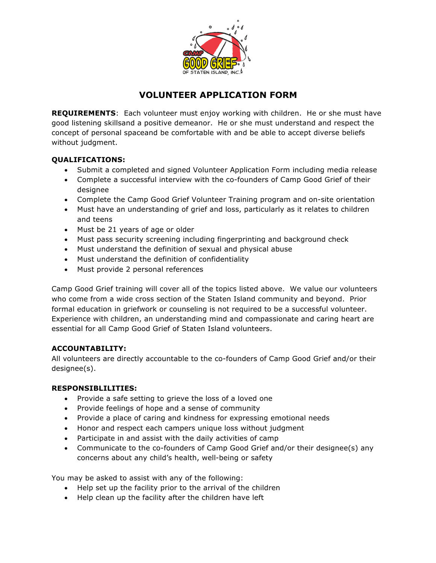

# **VOLUNTEER APPLICATION FORM**

**REQUIREMENTS**: Each volunteer must enjoy working with children. He or she must have good listening skillsand a positive demeanor. He or she must understand and respect the concept of personal spaceand be comfortable with and be able to accept diverse beliefs without judgment.

## **QUALIFICATIONS:**

- Submit a completed and signed Volunteer Application Form including media release
- Complete a successful interview with the co-founders of Camp Good Grief of their designee
- Complete the Camp Good Grief Volunteer Training program and on-site orientation
- Must have an understanding of grief and loss, particularly as it relates to children and teens
- Must be 21 years of age or older
- Must pass security screening including fingerprinting and background check
- Must understand the definition of sexual and physical abuse
- Must understand the definition of confidentiality
- Must provide 2 personal references

Camp Good Grief training will cover all of the topics listed above. We value our volunteers who come from a wide cross section of the Staten Island community and beyond. Prior formal education in griefwork or counseling is not required to be a successful volunteer. Experience with children, an understanding mind and compassionate and caring heart are essential for all Camp Good Grief of Staten Island volunteers.

#### **ACCOUNTABILITY:**

All volunteers are directly accountable to the co-founders of Camp Good Grief and/or their designee(s).

#### **RESPONSIBLILITIES:**

- Provide a safe setting to grieve the loss of a loved one
- Provide feelings of hope and a sense of community
- Provide a place of caring and kindness for expressing emotional needs
- Honor and respect each campers unique loss without judgment
- Participate in and assist with the daily activities of camp
- Communicate to the co-founders of Camp Good Grief and/or their designee(s) any concerns about any child's health, well-being or safety

You may be asked to assist with any of the following:

- Help set up the facility prior to the arrival of the children
- Help clean up the facility after the children have left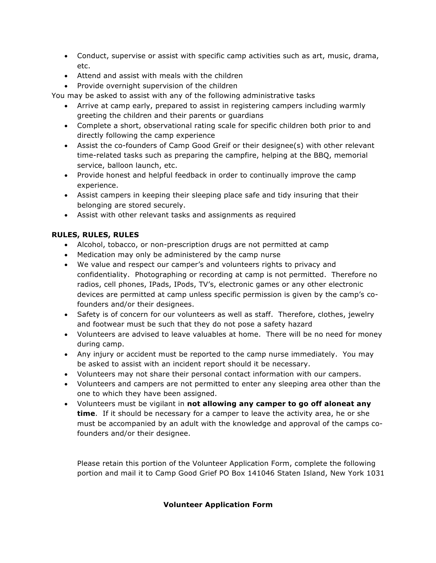- Conduct, supervise or assist with specific camp activities such as art, music, drama, etc.
- Attend and assist with meals with the children
- Provide overnight supervision of the children

You may be asked to assist with any of the following administrative tasks

- Arrive at camp early, prepared to assist in registering campers including warmly greeting the children and their parents or guardians
- Complete a short, observational rating scale for specific children both prior to and directly following the camp experience
- Assist the co-founders of Camp Good Greif or their designee(s) with other relevant time-related tasks such as preparing the campfire, helping at the BBQ, memorial service, balloon launch, etc.
- Provide honest and helpful feedback in order to continually improve the camp experience.
- Assist campers in keeping their sleeping place safe and tidy insuring that their belonging are stored securely.
- Assist with other relevant tasks and assignments as required

### **RULES, RULES, RULES**

- Alcohol, tobacco, or non-prescription drugs are not permitted at camp
- Medication may only be administered by the camp nurse
- We value and respect our camper's and volunteers rights to privacy and confidentiality. Photographing or recording at camp is not permitted. Therefore no radios, cell phones, IPads, IPods, TV's, electronic games or any other electronic devices are permitted at camp unless specific permission is given by the camp's cofounders and/or their designees.
- Safety is of concern for our volunteers as well as staff. Therefore, clothes, jewelry and footwear must be such that they do not pose a safety hazard
- Volunteers are advised to leave valuables at home. There will be no need for money during camp.
- Any injury or accident must be reported to the camp nurse immediately. You may be asked to assist with an incident report should it be necessary.
- Volunteers may not share their personal contact information with our campers.
- Volunteers and campers are not permitted to enter any sleeping area other than the one to which they have been assigned.
- Volunteers must be vigilant in **not allowing any camper to go off aloneat any time**. If it should be necessary for a camper to leave the activity area, he or she must be accompanied by an adult with the knowledge and approval of the camps cofounders and/or their designee.

Please retain this portion of the Volunteer Application Form, complete the following portion and mail it to Camp Good Grief PO Box 141046 Staten Island, New York 1031

#### **Volunteer Application Form**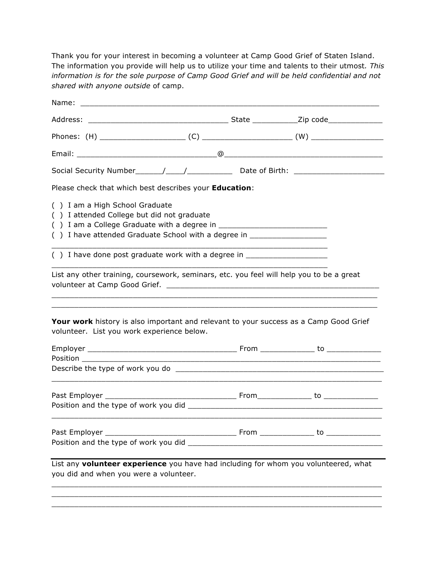Thank you for your interest in becoming a volunteer at Camp Good Grief of Staten Island. The information you provide will help us to utilize your time and talents to their utmost*. This information is for the sole purpose of Camp Good Grief and will be held confidential and not shared with anyone outside* of camp.

| Name:                                                                                                                                                                                                                           |                                                                                  |  |  |  |
|---------------------------------------------------------------------------------------------------------------------------------------------------------------------------------------------------------------------------------|----------------------------------------------------------------------------------|--|--|--|
|                                                                                                                                                                                                                                 |                                                                                  |  |  |  |
|                                                                                                                                                                                                                                 |                                                                                  |  |  |  |
|                                                                                                                                                                                                                                 |                                                                                  |  |  |  |
|                                                                                                                                                                                                                                 |                                                                                  |  |  |  |
| Please check that which best describes your Education:                                                                                                                                                                          |                                                                                  |  |  |  |
| () I am a High School Graduate<br>() I attended College but did not graduate<br>() I have attended Graduate School with a degree in ____________________________                                                                |                                                                                  |  |  |  |
|                                                                                                                                                                                                                                 | () I have done post graduate work with a degree in _____________________________ |  |  |  |
| List any other training, coursework, seminars, etc. you feel will help you to be a great<br>Your work history is also important and relevant to your success as a Camp Good Grief<br>volunteer. List you work experience below. |                                                                                  |  |  |  |
|                                                                                                                                                                                                                                 |                                                                                  |  |  |  |
| Position _________                                                                                                                                                                                                              |                                                                                  |  |  |  |
|                                                                                                                                                                                                                                 |                                                                                  |  |  |  |
|                                                                                                                                                                                                                                 |                                                                                  |  |  |  |
|                                                                                                                                                                                                                                 |                                                                                  |  |  |  |
| List any volunteer experience you have had including for whom you volunteered, what<br>you did and when you were a volunteer.                                                                                                   |                                                                                  |  |  |  |
|                                                                                                                                                                                                                                 |                                                                                  |  |  |  |